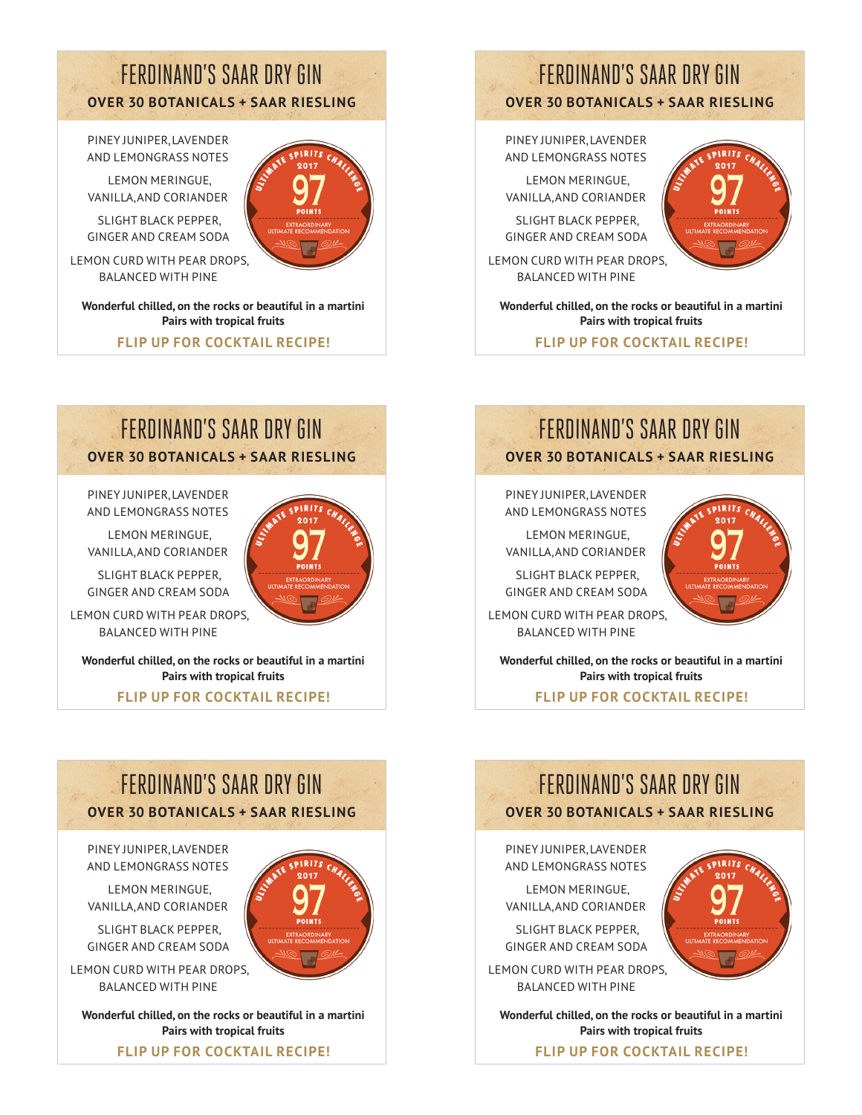### FERDINAND'S SAAR DRY GIN **OVER 30 BOTANICALS + SAAR RIESLING**

olRite

 $0.017$ 

**PIRITS** 

PINEY JUNIPER, LAVENDER AND LEMONGRASS NOTES

LEMON MERINGUE, VANILLA, AND CORIANDER

SLIGHT BLACK PEPPER, GINGER AND CREAM SODA

LEMON CURD WITH PEAR DROPS, BALANCED WITH PINE

**Wonderful chilled, on the rocks or beautiful in a martini Pairs with tropical fruits**

**FLIP UP FOR COCKTAIL RECIPE!**

# FERDINAND'S SAAR DRY GIN **OVER 30 BOTANICALS + SAAR RIESLING**

PINEY JUNIPER, LAVENDER AND LEMONGRASS NOTES

LEMON MERINGUE, VANILLA, AND CORIANDER

SLIGHT BLACK PEPPER, GINGER AND CREAM SODA

LEMON CURD WITH PEAR DROPS, BALANCED WITH PINE

**Wonderful chilled, on the rocks or beautiful in a martini Pairs with tropical fruits**

**FLIP UP FOR COCKTAIL RECIPE!**

# FERDINAND'S SAAR DRY GIN

**OVER 30 BOTANICALS + SAAR RIESLING**

PINEY JUNIPER, LAVENDER AND LEMONGRASS NOTES

LEMON MERINGUE, VANILLA, AND CORIANDER

SLIGHT BLACK PEPPER, GINGER AND CREAM SODA

LEMON CURD WITH PEAR DROPS, BALANCED WITH PINE

**Wonderful chilled, on the rocks or beautiful in a martini Pairs with tropical fruits**

**FLIP UP FOR COCKTAIL RECIPE!**



PINEY JUNIPER, LAVENDER AND LEMONGRASS NOTES

LEMON MERINGUE, VANILLA, AND CORIANDER

SLIGHT BLACK PEPPER, GINGER AND CREAM SODA

LEMON CURD WITH PEAR DROPS, BALANCED WITH PINE

**Wonderful chilled, on the rocks or beautiful in a martini Pairs with tropical fruits**

**FLIP UP FOR COCKTAIL RECIPE!**

# FERDINAND'S SAAR DRY GIN **OVER 30 BOTANICALS + SAAR RIESLING**

PINEY JUNIPER, LAVENDER AND LEMONGRASS NOTES

LEMON MERINGUE, VANILLA, AND CORIANDER

SLIGHT BLACK PEPPER, GINGER AND CREAM SODA

LEMON CURD WITH PEAR DROPS, BALANCED WITH PINE

**Wonderful chilled, on the rocks or beautiful in a martini Pairs with tropical fruits**

**FLIP UP FOR COCKTAIL RECIPE!**

# FERDINAND'S SAAR DRY GIN **OVER 30 BOTANICALS + SAAR RIESLING**

PINEY JUNIPER, LAVENDER AND LEMONGRASS NOTES

LEMON MERINGUE, VANILLA, AND CORIANDER

SLIGHT BLACK PEPPER, GINGER AND CREAM SODA

LEMON CURD WITH PEAR DROPS, BALANCED WITH PINE

**Wonderful chilled, on the rocks or beautiful in a martini Pairs with tropical fruits**

**FLIP UP FOR COCKTAIL RECIPE!**





**SPIRITS** 

oleire